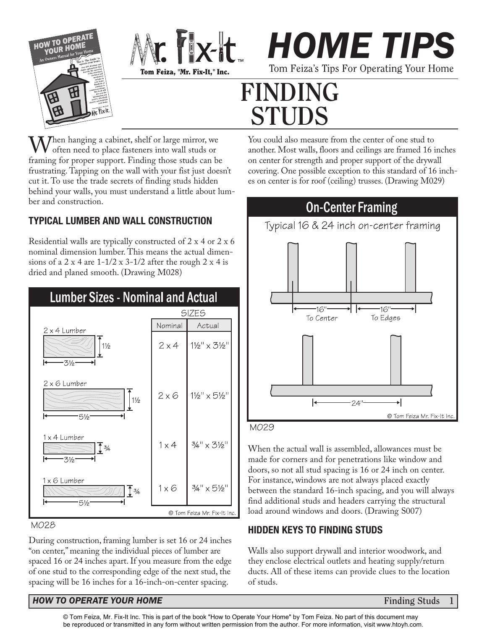





# **FINDING STUDS**

 $\mathbf{M}$  hen hanging a cabinet, shelf or large mirror, we often need to place fasteners into wall studs or framing for proper support. Finding those studs can be frustrating. Tapping on the wall with your fist just doesn't cut it. To use the trade secrets of finding studs hidden behind your walls, you must understand a little about lumber and construction.

### **TYPICAL LUMBER AND WALL CONSTRUCTION**

Residential walls are typically constructed of 2 x 4 or 2 x 6 nominal dimension lumber. This means the actual dimensions of a 2 x 4 are  $1-1/2$  x  $3-1/2$  after the rough 2 x 4 is dried and planed smooth. (Drawing M028)



#### M028

During construction, framing lumber is set 16 or 24 inches "on center," meaning the individual pieces of lumber are spaced 16 or 24 inches apart. If you measure from the edge of one stud to the corresponding edge of the next stud, the spacing will be 16 inches for a 16-inch-on-center spacing.

You could also measure from the center of one stud to another. Most walls, floors and ceilings are framed 16 inches on center for strength and proper support of the drywall covering. One possible exception to this standard of 16 inches on center is for roof (ceiling) trusses. (Drawing M029)



When the actual wall is assembled, allowances must be made for corners and for penetrations like window and doors, so not all stud spacing is 16 or 24 inch on center. For instance, windows are not always placed exactly between the standard 16-inch spacing, and you will always find additional studs and headers carrying the structural load around windows and doors. (Drawing S007)

### **HIDDEN KEYS TO FINDING STUDS**

Walls also support drywall and interior woodwork, and they enclose electrical outlets and heating supply/return ducts. All of these items can provide clues to the location of studs.

#### *HOW TO OPERATE YOUR HOME Finding Studs Finding Studs*

**1**

© Tom Feiza, Mr. Fix-It Inc. This is part of the book "How to Operate Your Home" by Tom Feiza. No part of this document may [be reproduced or transmitted in any form without written permission from the author. For more information, visit www.htoyh.com.](http://htoyh.com)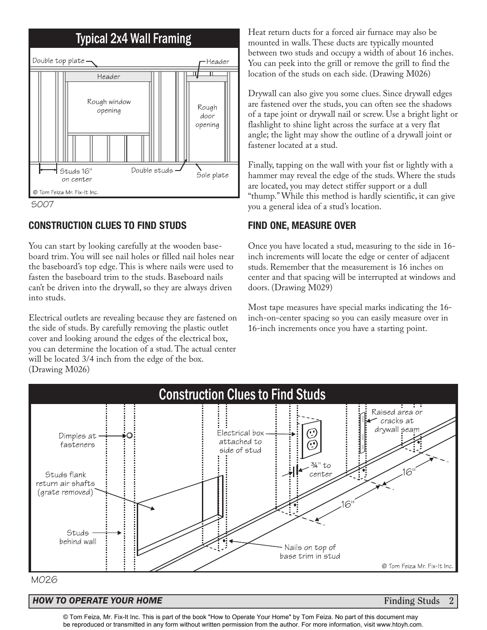



#### **CONSTRUCTION CLUES TO FIND STUDS**

You can start by looking carefully at the wooden baseboard trim. You will see nail holes or filled nail holes near the baseboard's top edge. This is where nails were used to fasten the baseboard trim to the studs. Baseboard nails can't be driven into the drywall, so they are always driven into studs.

Electrical outlets are revealing because they are fastened on the side of studs. By carefully removing the plastic outlet cover and looking around the edges of the electrical box, you can determine the location of a stud. The actual center will be located  $3/4$  inch from the edge of the box. (Drawing M026)

Heat return ducts for a forced air furnace may also be mounted in walls. These ducts are typically mounted between two studs and occupy a width of about 16 inches. You can peek into the grill or remove the grill to find the location of the studs on each side. (Drawing M026)

Drywall can also give you some clues. Since drywall edges are fastened over the studs, you can often see the shadows of a tape joint or drywall nail or screw. Use a bright light or flashlight to shine light across the surface at a very flat angle; the light may show the outline of a drywall joint or fastener located at a stud.

Finally, tapping on the wall with your fist or lightly with a hammer may reveal the edge of the studs. Where the studs are located, you may detect stiffer support or a dull "thump." While this method is hardly scientific, it can give you a general idea of a stud's location.

#### **FIND ONE, MEASURE OVER**

Once you have located a stud, measuring to the side in 16 inch increments will locate the edge or center of adjacent studs. Remember that the measurement is 16 inches on center and that spacing will be interrupted at windows and doors. (Drawing M029)

Most tape measures have special marks indicating the 16 inch-on-center spacing so you can easily measure over in 16-inch increments once you have a starting point.



#### M026

#### *HOW TO OPERATE YOUR HOME* **Finding Studs 2**

© Tom Feiza, Mr. Fix-It Inc. This is part of the book "How to Operate Your Home" by Tom Feiza. No part of this document may [be reproduced or transmitted in any form without written permission from the author. For more information, visit www.htoyh.com.](http://htoyh.com)